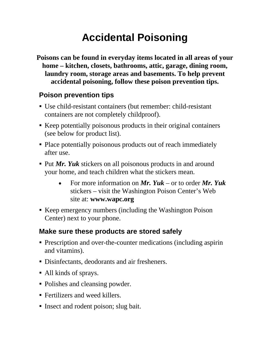# **Accidental Poisoning**

**Poisons can be found in everyday items located in all areas of your home – kitchen, closets, bathrooms, attic, garage, dining room, laundry room, storage areas and basements. To help prevent accidental poisoning, follow these poison prevention tips.**

### **Poison prevention tips**

- Use child-resistant containers (but remember: child-resistant containers are not completely childproof).
- Keep potentially poisonous products in their original containers (see below for product list).
- Place potentially poisonous products out of reach immediately after use.
- **Put** *Mr. Yuk* stickers on all poisonous products in and around your home, and teach children what the stickers mean.
	- For more information on *Mr. Yuk* or to order *Mr. Yuk* stickers – visit the Washington Poison Center's Web site at: **www.wapc.org**
- Keep emergency numbers (including the Washington Poison Center) next to your phone.

#### **Make sure these products are stored safely**

- Prescription and over-the-counter medications (including aspirin and vitamins).
- Disinfectants, deodorants and air fresheners.
- All kinds of sprays.
- Polishes and cleansing powder.
- Fertilizers and weed killers.
- Insect and rodent poison; slug bait.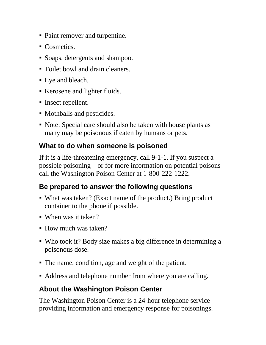- Paint remover and turpentine.
- Cosmetics.
- Soaps, detergents and shampoo.
- Toilet bowl and drain cleaners.
- Lye and bleach.
- Kerosene and lighter fluids.
- Insect repellent.
- Mothballs and pesticides.
- Note: Special care should also be taken with house plants as many may be poisonous if eaten by humans or pets.

### **What to do when someone is poisoned**

If it is a life-threatening emergency, call 9-1-1. If you suspect a possible poisoning – or for more information on potential poisons – call the Washington Poison Center at 1-800-222-1222.

# **Be prepared to answer the following questions**

- What was taken? (Exact name of the product.) Bring product container to the phone if possible.
- When was it taken?
- How much was taken?
- Who took it? Body size makes a big difference in determining a poisonous dose.
- The name, condition, age and weight of the patient.
- Address and telephone number from where you are calling.

# **About the Washington Poison Center**

The Washington Poison Center is a 24-hour telephone service providing information and emergency response for poisonings.